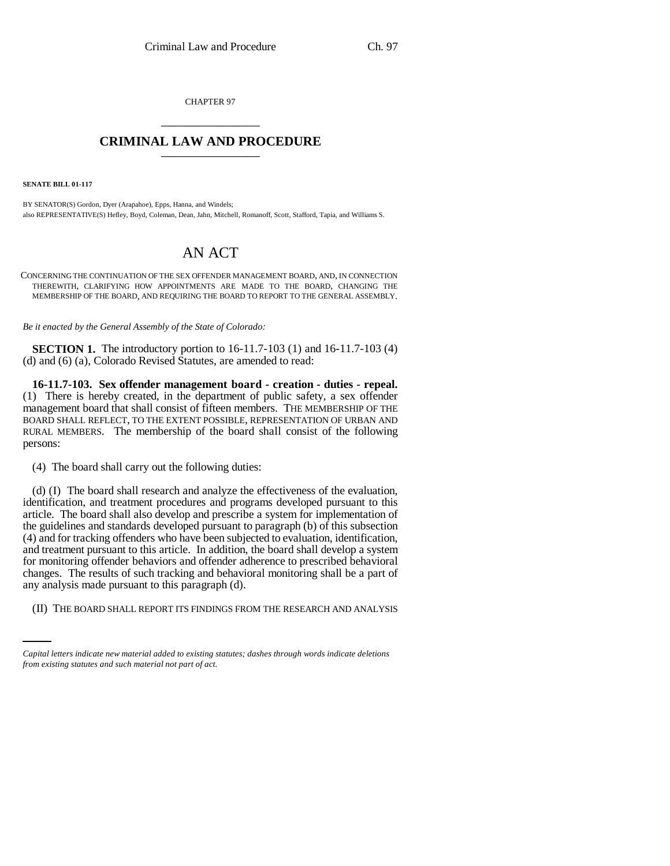CHAPTER 97 \_\_\_\_\_\_\_\_\_\_\_\_\_\_\_

## **CRIMINAL LAW AND PROCEDURE** \_\_\_\_\_\_\_\_\_\_\_\_\_\_\_

**SENATE BILL 01-117**

BY SENATOR(S) Gordon, Dyer (Arapahoe), Epps, Hanna, and Windels; also REPRESENTATIVE(S) Hefley, Boyd, Coleman, Dean, Jahn, Mitchell, Romanoff, Scott, Stafford, Tapia, and Williams S.

## AN ACT

CONCERNING THE CONTINUATION OF THE SEX OFFENDER MANAGEMENT BOARD, AND, IN CONNECTION THEREWITH, CLARIFYING HOW APPOINTMENTS ARE MADE TO THE BOARD, CHANGING THE MEMBERSHIP OF THE BOARD, AND REQUIRING THE BOARD TO REPORT TO THE GENERAL ASSEMBLY.

*Be it enacted by the General Assembly of the State of Colorado:*

**SECTION 1.** The introductory portion to 16-11.7-103 (1) and 16-11.7-103 (4) (d) and (6) (a), Colorado Revised Statutes, are amended to read:

**16-11.7-103. Sex offender management board - creation - duties - repeal.** (1) There is hereby created, in the department of public safety, a sex offender management board that shall consist of fifteen members. THE MEMBERSHIP OF THE BOARD SHALL REFLECT, TO THE EXTENT POSSIBLE, REPRESENTATION OF URBAN AND RURAL MEMBERS. The membership of the board shall consist of the following persons:

(4) The board shall carry out the following duties:

any analysis made pursuant to this paragraph (d). (d) (I) The board shall research and analyze the effectiveness of the evaluation, identification, and treatment procedures and programs developed pursuant to this article. The board shall also develop and prescribe a system for implementation of the guidelines and standards developed pursuant to paragraph (b) of this subsection (4) and for tracking offenders who have been subjected to evaluation, identification, and treatment pursuant to this article. In addition, the board shall develop a system for monitoring offender behaviors and offender adherence to prescribed behavioral changes. The results of such tracking and behavioral monitoring shall be a part of

(II) THE BOARD SHALL REPORT ITS FINDINGS FROM THE RESEARCH AND ANALYSIS

*Capital letters indicate new material added to existing statutes; dashes through words indicate deletions from existing statutes and such material not part of act.*